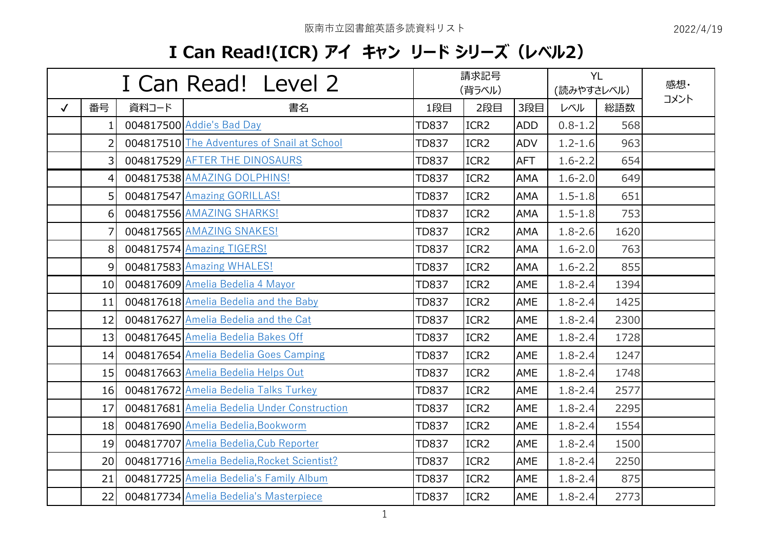## **I Can Read!(ICR) アイ キャン リード シリーズ(レベル2)**

| I Can Read! Level 2 |                  |       | 請求記号<br>(背ラベル)                              |              |                  | (読みやすさレベル) | <b>YL</b>   | 感想·  |      |
|---------------------|------------------|-------|---------------------------------------------|--------------|------------------|------------|-------------|------|------|
| $\checkmark$        | 番号               | 資料コード | 書名                                          | 1段目          | 2段目              | 3段目        | レベル         | 総語数  | コメント |
|                     | 1.               |       | 004817500 Addie's Bad Day                   | <b>TD837</b> | ICR <sub>2</sub> | <b>ADD</b> | $0.8 - 1.2$ | 568  |      |
|                     | 2                |       | 004817510 The Adventures of Snail at School | <b>TD837</b> | ICR <sub>2</sub> | <b>ADV</b> | $1.2 - 1.6$ | 963  |      |
|                     | 3 <sup>1</sup>   |       | 004817529 AFTER THE DINOSAURS               | <b>TD837</b> | ICR <sub>2</sub> | <b>AFT</b> | $1.6 - 2.2$ | 654  |      |
|                     | 4                |       | 004817538 AMAZING DOLPHINS!                 | <b>TD837</b> | ICR <sub>2</sub> | <b>AMA</b> | $1.6 - 2.0$ | 649  |      |
|                     | 5 <sup>1</sup>   |       | 004817547 Amazing GORILLAS!                 | <b>TD837</b> | ICR <sub>2</sub> | <b>AMA</b> | $1.5 - 1.8$ | 651  |      |
|                     | $6 \overline{6}$ |       | 004817556 AMAZING SHARKS!                   | <b>TD837</b> | ICR <sub>2</sub> | AMA        | $1.5 - 1.8$ | 753  |      |
|                     | 7                |       | 004817565 AMAZING SNAKES!                   | <b>TD837</b> | ICR <sub>2</sub> | <b>AMA</b> | $1.8 - 2.6$ | 1620 |      |
|                     | 8                |       | 004817574 Amazing TIGERS!                   | <b>TD837</b> | ICR <sub>2</sub> | AMA        | $1.6 - 2.0$ | 763  |      |
|                     | $\overline{9}$   |       | 004817583 Amazing WHALES!                   | <b>TD837</b> | ICR <sub>2</sub> | AMA        | $1.6 - 2.2$ | 855  |      |
|                     | 10 <sup>1</sup>  |       | 004817609 Amelia Bedelia 4 Mayor            | <b>TD837</b> | ICR <sub>2</sub> | AME        | $1.8 - 2.4$ | 1394 |      |
|                     | 11               |       | 004817618 Amelia Bedelia and the Baby       | <b>TD837</b> | ICR <sub>2</sub> | AME        | $1.8 - 2.4$ | 1425 |      |
|                     | 12               |       | 004817627 Amelia Bedelia and the Cat        | <b>TD837</b> | ICR <sub>2</sub> | AME        | $1.8 - 2.4$ | 2300 |      |
|                     | 13               |       | 004817645 Amelia Bedelia Bakes Off          | <b>TD837</b> | ICR <sub>2</sub> | AME        | $1.8 - 2.4$ | 1728 |      |
|                     | 14               |       | 004817654 Amelia Bedelia Goes Camping       | <b>TD837</b> | ICR <sub>2</sub> | <b>AME</b> | $1.8 - 2.4$ | 1247 |      |
|                     | 15               |       | 004817663 Amelia Bedelia Helps Out          | <b>TD837</b> | ICR <sub>2</sub> | AME        | $1.8 - 2.4$ | 1748 |      |
|                     | 16               |       | 004817672 Amelia Bedelia Talks Turkey       | <b>TD837</b> | ICR <sub>2</sub> | AME        | $1.8 - 2.4$ | 2577 |      |
|                     | 17               |       | 004817681 Amelia Bedelia Under Construction | <b>TD837</b> | ICR <sub>2</sub> | AME        | $1.8 - 2.4$ | 2295 |      |
|                     | 18               |       | 004817690 Amelia Bedelia, Bookworm          | <b>TD837</b> | ICR <sub>2</sub> | AME        | $1.8 - 2.4$ | 1554 |      |
|                     | 19               |       | 004817707 Amelia Bedelia, Cub Reporter      | <b>TD837</b> | ICR <sub>2</sub> | <b>AME</b> | $1.8 - 2.4$ | 1500 |      |
|                     | 20               |       | 004817716 Amelia Bedelia, Rocket Scientist? | <b>TD837</b> | ICR <sub>2</sub> | AME        | $1.8 - 2.4$ | 2250 |      |
|                     | 21               |       | 004817725 Amelia Bedelia's Family Album     | <b>TD837</b> | ICR <sub>2</sub> | AME        | $1.8 - 2.4$ | 875  |      |
|                     | 22               |       | 004817734 Amelia Bedelia's Masterpiece      | <b>TD837</b> | ICR <sub>2</sub> | AME        | $1.8 - 2.4$ | 2773 |      |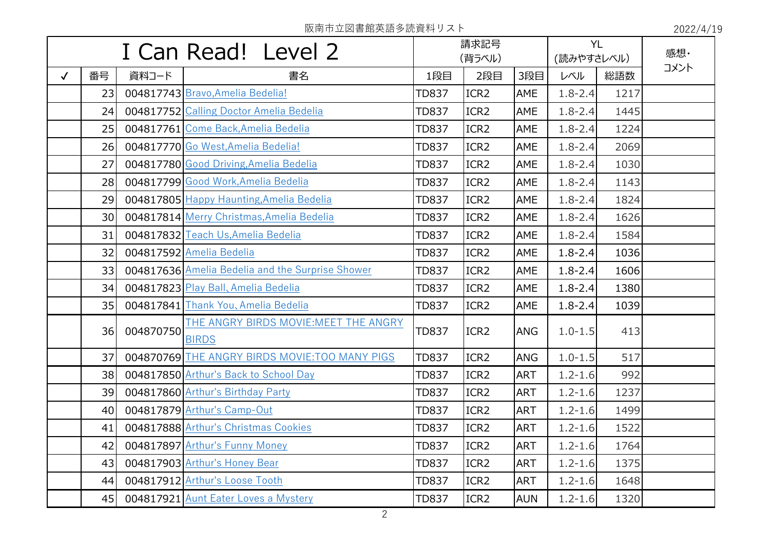|              | I Can Read! Level 2 |           |                                                       | 請求記号<br>(背ラベル) |                  |            | <b>YL</b><br>(読みやすさレベル) |      | 感想·  |
|--------------|---------------------|-----------|-------------------------------------------------------|----------------|------------------|------------|-------------------------|------|------|
| $\checkmark$ | 番号                  | 資料コード     | 書名                                                    | 1段目            | 2段目              | 3段目        | レベル                     | 総語数  | コメント |
|              | 23                  |           | 004817743 Bravo, Amelia Bedelia!                      | <b>TD837</b>   | ICR <sub>2</sub> | AME        | $1.8 - 2.4$             | 1217 |      |
|              | 24                  |           | 004817752 Calling Doctor Amelia Bedelia               | <b>TD837</b>   | ICR <sub>2</sub> | AME        | $1.8 - 2.4$             | 1445 |      |
|              | 25                  |           | 004817761 Come Back, Amelia Bedelia                   | <b>TD837</b>   | ICR <sub>2</sub> | AME        | $1.8 - 2.4$             | 1224 |      |
|              | 26                  |           | 004817770 Go West, Amelia Bedelia!                    | <b>TD837</b>   | ICR <sub>2</sub> | AME        | $1.8 - 2.4$             | 2069 |      |
|              | 27                  |           | 004817780 Good Driving, Amelia Bedelia                | <b>TD837</b>   | ICR <sub>2</sub> | AME        | $1.8 - 2.4$             | 1030 |      |
|              | 28                  |           | 004817799 Good Work, Amelia Bedelia                   | <b>TD837</b>   | ICR2             | AME        | $1.8 - 2.4$             | 1143 |      |
|              | 29                  |           | 004817805 Happy Haunting, Amelia Bedelia              | <b>TD837</b>   | ICR <sub>2</sub> | AME        | $1.8 - 2.4$             | 1824 |      |
|              | 30                  |           | 004817814 Merry Christmas, Amelia Bedelia             | TD837          | ICR <sub>2</sub> | AME        | $1.8 - 2.4$             | 1626 |      |
|              | 31                  |           | 004817832 Teach Us, Amelia Bedelia                    | <b>TD837</b>   | ICR2             | AME        | $1.8 - 2.4$             | 1584 |      |
|              | 32                  |           | 004817592 Amelia Bedelia                              | <b>TD837</b>   | ICR <sub>2</sub> | AME        | $1.8 - 2.4$             | 1036 |      |
|              | 33                  |           | 004817636 Amelia Bedelia and the Surprise Shower      | TD837          | ICR <sub>2</sub> | AME        | $1.8 - 2.4$             | 1606 |      |
|              | 34                  |           | 004817823 Play Ball, Amelia Bedelia                   | <b>TD837</b>   | ICR2             | AME        | $1.8 - 2.4$             | 1380 |      |
|              | 35                  |           | 004817841 Thank You, Amelia Bedelia                   | <b>TD837</b>   | ICR <sub>2</sub> | AME        | $1.8 - 2.4$             | 1039 |      |
|              | 36                  | 004870750 | THE ANGRY BIRDS MOVIE: MEET THE ANGRY<br><b>BIRDS</b> | <b>TD837</b>   | ICR <sub>2</sub> | <b>ANG</b> | $1.0 - 1.5$             | 413  |      |
|              | 37                  |           | 004870769 THE ANGRY BIRDS MOVIE: TOO MANY PIGS        | <b>TD837</b>   | ICR <sub>2</sub> | <b>ANG</b> | $1.0 - 1.5$             | 517  |      |
|              | 38                  |           | 004817850 Arthur's Back to School Day                 | <b>TD837</b>   | ICR <sub>2</sub> | <b>ART</b> | $1.2 - 1.6$             | 992  |      |
|              | 39                  |           | 004817860 Arthur's Birthday Party                     | TD837          | ICR <sub>2</sub> | <b>ART</b> | $1.2 - 1.6$             | 1237 |      |
|              | 40 <sub>l</sub>     |           | 004817879 Arthur's Camp-Out                           | <b>TD837</b>   | ICR <sub>2</sub> | <b>ART</b> | $1.2 - 1.6$             | 1499 |      |
|              | 41                  |           | 004817888 Arthur's Christmas Cookies                  | TD837          | ICR <sub>2</sub> | <b>ART</b> | $1.2 - 1.6$             | 1522 |      |
|              | 42                  |           | 004817897 Arthur's Funny Money                        | <b>TD837</b>   | ICR2             | <b>ART</b> | $1.2 - 1.6$             | 1764 |      |
|              | 43                  |           | 004817903 Arthur's Honey Bear                         | <b>TD837</b>   | ICR <sub>2</sub> | <b>ART</b> | $1.2 - 1.6$             | 1375 |      |
|              | 44                  |           | 004817912 Arthur's Loose Tooth                        | <b>TD837</b>   | ICR <sub>2</sub> | <b>ART</b> | $1.2 - 1.6$             | 1648 |      |
|              | 45                  |           | 004817921 Aunt Eater Loves a Mystery                  | <b>TD837</b>   | ICR2             | <b>AUN</b> | $1.2 - 1.6$             | 1320 |      |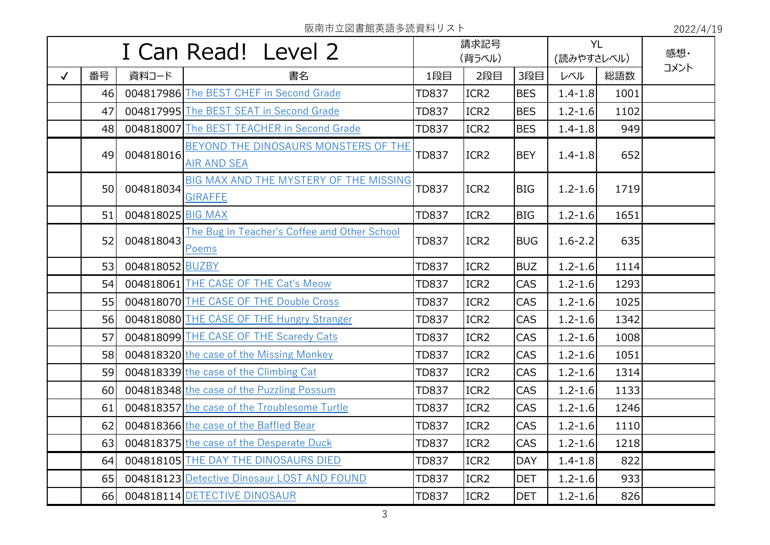| I Can Read! Level 2 |    |                   | 請求記号<br>(背ラベル)                                             |              | <b>YL</b><br>(読みやすさレベル) |            | 感想·         |      |      |
|---------------------|----|-------------------|------------------------------------------------------------|--------------|-------------------------|------------|-------------|------|------|
| $\checkmark$        | 番号 | 資料コード             | 書名                                                         | 1段目          | 2段目                     | 3段目        | レベル         | 総語数  | コメント |
|                     | 46 |                   | 004817986 The BEST CHEF in Second Grade                    | <b>TD837</b> | ICR <sub>2</sub>        | <b>BES</b> | $1.4 - 1.8$ | 1001 |      |
|                     | 47 |                   | 004817995 The BEST SEAT in Second Grade                    | <b>TD837</b> | ICR <sub>2</sub>        | <b>BES</b> | $1.2 - 1.6$ | 1102 |      |
|                     | 48 |                   | 004818007 The BEST TEACHER in Second Grade                 | <b>TD837</b> | ICR <sub>2</sub>        | <b>BES</b> | $1.4 - 1.8$ | 949  |      |
|                     | 49 | 004818016         | BEYOND THE DINOSAURS MONSTERS OF THE<br><b>AIR AND SEA</b> | <b>TD837</b> | ICR <sub>2</sub>        | <b>BEY</b> | $1.4 - 1.8$ | 652  |      |
|                     | 50 | 004818034         | BIG MAX AND THE MYSTERY OF THE MISSING<br><b>GIRAFFE</b>   | <b>TD837</b> | ICR <sub>2</sub>        | <b>BIG</b> | $1.2 - 1.6$ | 1719 |      |
|                     | 51 | 004818025 BIG MAX |                                                            | <b>TD837</b> | ICR <sub>2</sub>        | <b>BIG</b> | $1.2 - 1.6$ | 1651 |      |
|                     | 52 | 004818043         | The Bug in Teacher's Coffee and Other School<br>Poems      | <b>TD837</b> | ICR <sub>2</sub>        | <b>BUG</b> | $1.6 - 2.2$ | 635  |      |
|                     | 53 | 004818052 BUZBY   |                                                            | <b>TD837</b> | ICR <sub>2</sub>        | <b>BUZ</b> | $1.2 - 1.6$ | 1114 |      |
|                     | 54 |                   | 004818061 THE CASE OF THE Cat's Meow                       | <b>TD837</b> | ICR <sub>2</sub>        | CAS        | $1.2 - 1.6$ | 1293 |      |
|                     | 55 |                   | 004818070 THE CASE OF THE Double Cross                     | <b>TD837</b> | ICR <sub>2</sub>        | CAS        | $1.2 - 1.6$ | 1025 |      |
|                     | 56 |                   | 004818080 THE CASE OF THE Hungry Stranger                  | <b>TD837</b> | ICR <sub>2</sub>        | <b>CAS</b> | $1.2 - 1.6$ | 1342 |      |
|                     | 57 |                   | 004818099 THE CASE OF THE Scaredy Cats                     | <b>TD837</b> | ICR <sub>2</sub>        | <b>CAS</b> | $1.2 - 1.6$ | 1008 |      |
|                     | 58 |                   | 004818320 the case of the Missing Monkey                   | <b>TD837</b> | ICR <sub>2</sub>        | <b>CAS</b> | $1.2 - 1.6$ | 1051 |      |
|                     | 59 |                   | 004818339 the case of the Climbing Cat                     | <b>TD837</b> | ICR <sub>2</sub>        | <b>CAS</b> | $1.2 - 1.6$ | 1314 |      |
|                     | 60 |                   | 004818348 the case of the Puzzling Possum                  | <b>TD837</b> | ICR <sub>2</sub>        | <b>CAS</b> | $1.2 - 1.6$ | 1133 |      |
|                     | 61 |                   | 004818357 the case of the Troublesome Turtle               | <b>TD837</b> | ICR <sub>2</sub>        | <b>CAS</b> | $1.2 - 1.6$ | 1246 |      |
|                     | 62 |                   | 004818366 the case of the Baffled Bear                     | TD837        | ICR <sub>2</sub>        | <b>CAS</b> | $1.2 - 1.6$ | 1110 |      |
|                     | 63 |                   | 004818375 the case of the Desperate Duck                   | <b>TD837</b> | ICR <sub>2</sub>        | <b>CAS</b> | $1.2 - 1.6$ | 1218 |      |
|                     | 64 |                   | 004818105 THE DAY THE DINOSAURS DIED                       | <b>TD837</b> | ICR <sub>2</sub>        | <b>DAY</b> | $1.4 - 1.8$ | 822  |      |
|                     | 65 |                   | 004818123 Detective Dinosaur LOST AND FOUND                | <b>TD837</b> | ICR <sub>2</sub>        | <b>DET</b> | $1.2 - 1.6$ | 933  |      |
|                     | 66 |                   | 004818114 DETECTIVE DINOSAUR                               | <b>TD837</b> | ICR <sub>2</sub>        | <b>DET</b> | $1.2 - 1.6$ | 826  |      |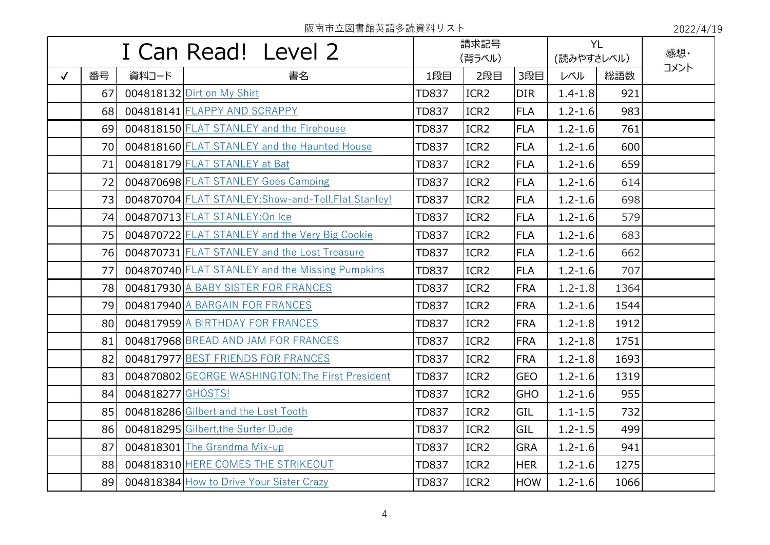| I Can Read! Level 2 |                 | 請求記号              |                                                      |              | <b>YL</b>        |            | 感想·         |      |      |
|---------------------|-----------------|-------------------|------------------------------------------------------|--------------|------------------|------------|-------------|------|------|
|                     |                 |                   |                                                      | (背ラベル)       |                  |            | (読みやすさレベル)  |      | コメント |
| $\checkmark$        | 番号              | 資料コード             | 書名                                                   | 1段目          | 2段目              | 3段目        | レベル         | 総語数  |      |
|                     | 67              |                   | 004818132 Dirt on My Shirt                           | <b>TD837</b> | ICR <sub>2</sub> | <b>DIR</b> | $1.4 - 1.8$ | 921  |      |
|                     | 68              |                   | 004818141 FLAPPY AND SCRAPPY                         | <b>TD837</b> | ICR <sub>2</sub> | <b>FLA</b> | $1.2 - 1.6$ | 983  |      |
|                     | 69              |                   | 004818150 FLAT STANLEY and the Firehouse             | <b>TD837</b> | ICR <sub>2</sub> | <b>FLA</b> | $1.2 - 1.6$ | 761  |      |
|                     | 70              |                   | 004818160 FLAT STANLEY and the Haunted House         | <b>TD837</b> | ICR <sub>2</sub> | <b>FLA</b> | $1.2 - 1.6$ | 600  |      |
|                     | 71              |                   | 004818179 FLAT STANLEY at Bat                        | <b>TD837</b> | ICR <sub>2</sub> | FLA        | $1.2 - 1.6$ | 659  |      |
|                     | 72              |                   | 004870698 FLAT STANLEY Goes Camping                  | <b>TD837</b> | ICR <sub>2</sub> | FLA        | $1.2 - 1.6$ | 614  |      |
|                     | 73              |                   | 004870704 FLAT STANLEY: Show-and-Tell, Flat Stanley! | <b>TD837</b> | ICR <sub>2</sub> | FLA        | $1.2 - 1.6$ | 698  |      |
|                     | 74              |                   | 004870713 FLAT STANLEY: On Ice                       | <b>TD837</b> | ICR <sub>2</sub> | <b>FLA</b> | $1.2 - 1.6$ | 579  |      |
|                     | 75              |                   | 004870722 FLAT STANLEY and the Very Big Cookie       | <b>TD837</b> | ICR <sub>2</sub> | FLA        | $1.2 - 1.6$ | 683  |      |
|                     | 76              |                   | 004870731 FLAT STANLEY and the Lost Treasure         | <b>TD837</b> | ICR <sub>2</sub> | FLA        | $1.2 - 1.6$ | 662  |      |
|                     | 77              |                   | 004870740 FLAT STANLEY and the Missing Pumpkins      | <b>TD837</b> | ICR <sub>2</sub> | FLA        | $1.2 - 1.6$ | 707  |      |
|                     | 78              |                   | 004817930 A BABY SISTER FOR FRANCES                  | <b>TD837</b> | ICR <sub>2</sub> | <b>FRA</b> | $1.2 - 1.8$ | 1364 |      |
|                     | 79              |                   | 004817940 A BARGAIN FOR FRANCES                      | <b>TD837</b> | ICR <sub>2</sub> | <b>FRA</b> | $1.2 - 1.6$ | 1544 |      |
|                     | 80 <sup>1</sup> |                   | 004817959 A BIRTHDAY FOR FRANCES                     | <b>TD837</b> | ICR <sub>2</sub> | <b>FRA</b> | $1.2 - 1.8$ | 1912 |      |
|                     | 81              |                   | 004817968 BREAD AND JAM FOR FRANCES                  | <b>TD837</b> | ICR <sub>2</sub> | <b>FRA</b> | $1.2 - 1.8$ | 1751 |      |
|                     | 82              |                   | 004817977 BEST FRIENDS FOR FRANCES                   | <b>TD837</b> | ICR <sub>2</sub> | <b>FRA</b> | $1.2 - 1.8$ | 1693 |      |
|                     | 83              |                   | 004870802 GEORGE WASHINGTON: The First President     | <b>TD837</b> | ICR <sub>2</sub> | <b>GEO</b> | $1.2 - 1.6$ | 1319 |      |
|                     | 84              | 004818277 GHOSTS! |                                                      | <b>TD837</b> | ICR <sub>2</sub> | <b>GHO</b> | $1.2 - 1.6$ | 955  |      |
|                     | 85              |                   | 004818286 Gilbert and the Lost Tooth                 | <b>TD837</b> | ICR <sub>2</sub> | GIL        | $1.1 - 1.5$ | 732  |      |
|                     | 86              |                   | 004818295 Gilbert, the Surfer Dude                   | <b>TD837</b> | ICR <sub>2</sub> | GIL        | $1.2 - 1.5$ | 499  |      |
|                     | 87              |                   | 004818301 The Grandma Mix-up                         | <b>TD837</b> | ICR <sub>2</sub> | <b>GRA</b> | $1.2 - 1.6$ | 941  |      |
|                     | 88              |                   | 004818310 HERE COMES THE STRIKEOUT                   | <b>TD837</b> | ICR <sub>2</sub> | <b>HER</b> | $1.2 - 1.6$ | 1275 |      |
|                     | 89              |                   | 004818384 How to Drive Your Sister Crazy             | <b>TD837</b> | ICR <sub>2</sub> | HOW        | $1.2 - 1.6$ | 1066 |      |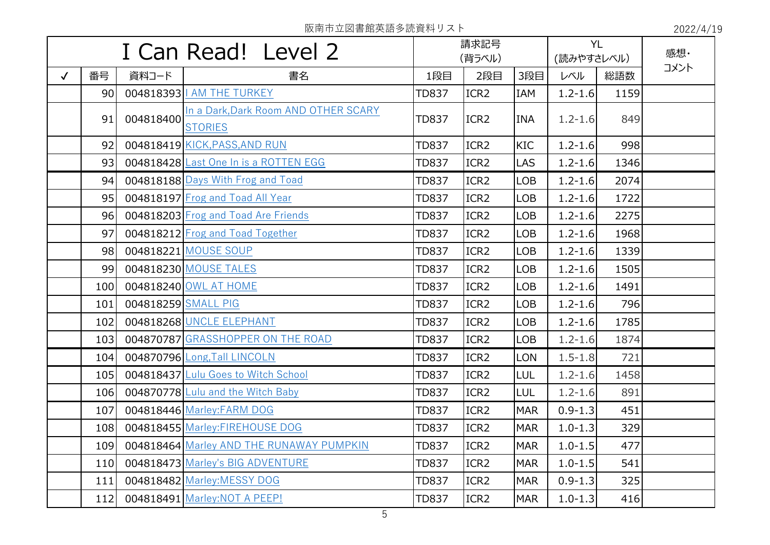|              |                 |                     | I Can Read! Level 2                                    |              | 請求記号<br>(背ラベル)   |            | (読みやすさレベル)  | <b>YL</b> | 感想·  |
|--------------|-----------------|---------------------|--------------------------------------------------------|--------------|------------------|------------|-------------|-----------|------|
| $\checkmark$ | 番号              | 資料コード               | 書名                                                     | 1段目          | 2段目              | 3段目        | レベル         | 総語数       | コメント |
|              | 90 <sub>1</sub> |                     | 004818393   AM THE TURKEY                              | <b>TD837</b> | ICR <sub>2</sub> | IAM        | $1.2 - 1.6$ | 1159      |      |
|              | 91              | 004818400           | In a Dark, Dark Room AND OTHER SCARY<br><b>STORIES</b> | <b>TD837</b> | ICR <sub>2</sub> | <b>INA</b> | $1.2 - 1.6$ | 849       |      |
|              | 92              |                     | 004818419 KICK, PASS, AND RUN                          | <b>TD837</b> | ICR <sub>2</sub> | <b>KIC</b> | $1.2 - 1.6$ | 998       |      |
|              | 93              |                     | 004818428 Last One In is a ROTTEN EGG                  | <b>TD837</b> | ICR <sub>2</sub> | <b>LAS</b> | $1.2 - 1.6$ | 1346      |      |
|              | 94              |                     | 004818188 Days With Frog and Toad                      | <b>TD837</b> | ICR <sub>2</sub> | <b>LOB</b> | $1.2 - 1.6$ | 2074      |      |
|              | 95              |                     | 004818197 Frog and Toad All Year                       | <b>TD837</b> | ICR <sub>2</sub> | <b>LOB</b> | $1.2 - 1.6$ | 1722      |      |
|              | 96              |                     | 004818203 Frog and Toad Are Friends                    | <b>TD837</b> | ICR <sub>2</sub> | <b>LOB</b> | $1.2 - 1.6$ | 2275      |      |
|              | 97              |                     | 004818212 Frog and Toad Together                       | <b>TD837</b> | ICR <sub>2</sub> | <b>LOB</b> | $1.2 - 1.6$ | 1968      |      |
|              | 98              |                     | 004818221 MOUSE SOUP                                   | <b>TD837</b> | ICR <sub>2</sub> | <b>LOB</b> | $1.2 - 1.6$ | 1339      |      |
|              | 99              |                     | 004818230 MOUSE TALES                                  | <b>TD837</b> | ICR <sub>2</sub> | <b>LOB</b> | $1.2 - 1.6$ | 1505      |      |
|              | 100             |                     | 004818240 OWL AT HOME                                  | <b>TD837</b> | ICR <sub>2</sub> | <b>LOB</b> | $1.2 - 1.6$ | 1491      |      |
|              | 101             | 004818259 SMALL PIG |                                                        | <b>TD837</b> | ICR <sub>2</sub> | <b>LOB</b> | $1.2 - 1.6$ | 796       |      |
|              | 102             |                     | 004818268 UNCLE ELEPHANT                               | <b>TD837</b> | ICR <sub>2</sub> | <b>LOB</b> | $1.2 - 1.6$ | 1785      |      |
|              | 103             |                     | 004870787 GRASSHOPPER ON THE ROAD                      | <b>TD837</b> | ICR <sub>2</sub> | <b>LOB</b> | $1.2 - 1.6$ | 1874      |      |
|              | 104             |                     | 004870796 Long, Tall LINCOLN                           | <b>TD837</b> | ICR <sub>2</sub> | <b>LON</b> | $1.5 - 1.8$ | 721       |      |
|              | 105             |                     | 004818437 Lulu Goes to Witch School                    | <b>TD837</b> | ICR <sub>2</sub> | LUL        | $1.2 - 1.6$ | 1458      |      |
|              | 106             |                     | 004870778 Lulu and the Witch Baby                      | <b>TD837</b> | ICR <sub>2</sub> | <b>LUL</b> | $1.2 - 1.6$ | 891       |      |
|              | 107             |                     | 004818446 Marley: FARM DOG                             | <b>TD837</b> | ICR <sub>2</sub> | <b>MAR</b> | $0.9 - 1.3$ | 451       |      |
|              | 108             |                     | 004818455 Marley: FIREHOUSE DOG                        | <b>TD837</b> | ICR <sub>2</sub> | <b>MAR</b> | $1.0 - 1.3$ | 329       |      |
|              | 109             |                     | 004818464 Marley AND THE RUNAWAY PUMPKIN               | <b>TD837</b> | ICR <sub>2</sub> | <b>MAR</b> | $1.0 - 1.5$ | 477       |      |
|              | 110             |                     | 004818473 Marley's BIG ADVENTURE                       | <b>TD837</b> | ICR <sub>2</sub> | <b>MAR</b> | $1.0 - 1.5$ | 541       |      |
|              | 111             |                     | 004818482 Marley: MESSY DOG                            | <b>TD837</b> | ICR <sub>2</sub> | <b>MAR</b> | $0.9 - 1.3$ | 325       |      |
|              | 112             |                     | 004818491 Marley: NOT A PEEP!                          | <b>TD837</b> | ICR <sub>2</sub> | <b>MAR</b> | $1.0 - 1.3$ | 416       |      |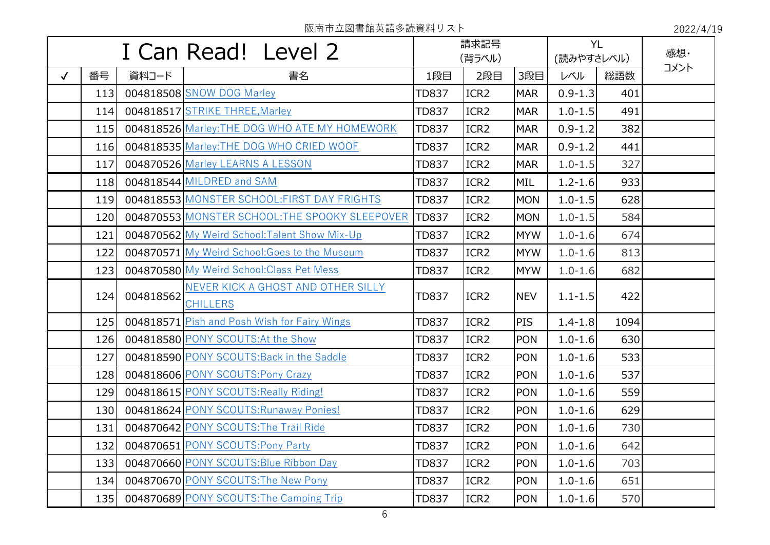|              | I Can Read! Level 2 |           | 請求記号<br>(背ラベル)                                        |              | <b>YL</b><br>(読みやすさレベル) |            | 感想·         |      |      |
|--------------|---------------------|-----------|-------------------------------------------------------|--------------|-------------------------|------------|-------------|------|------|
| $\checkmark$ | 番号                  | 資料コード     | 書名                                                    | 1段目          | 2段目                     | 3段目        | レベル         | 総語数  | コメント |
|              | 113                 |           | 004818508 SNOW DOG Marley                             | <b>TD837</b> | ICR <sub>2</sub>        | <b>MAR</b> | $0.9 - 1.3$ | 401  |      |
|              | 114                 |           | 004818517 STRIKE THREE, Marley                        | <b>TD837</b> | ICR <sub>2</sub>        | <b>MAR</b> | $1.0 - 1.5$ | 491  |      |
|              | 115                 |           | 004818526 Marley: THE DOG WHO ATE MY HOMEWORK         | <b>TD837</b> | ICR <sub>2</sub>        | <b>MAR</b> | $0.9 - 1.2$ | 382  |      |
|              | 116                 |           | 004818535 Marley: THE DOG WHO CRIED WOOF              | <b>TD837</b> | ICR <sub>2</sub>        | <b>MAR</b> | $0.9 - 1.2$ | 441  |      |
|              | 117                 |           | 004870526 Marley LEARNS A LESSON                      | <b>TD837</b> | ICR <sub>2</sub>        | <b>MAR</b> | $1.0 - 1.5$ | 327  |      |
|              | 118                 |           | 004818544 MILDRED and SAM                             | <b>TD837</b> | ICR <sub>2</sub>        | MIL        | $1.2 - 1.6$ | 933  |      |
|              | 119                 |           | 004818553 MONSTER SCHOOL: FIRST DAY FRIGHTS           | <b>TD837</b> | ICR <sub>2</sub>        | <b>MON</b> | $1.0 - 1.5$ | 628  |      |
|              | 120                 |           | 004870553 MONSTER SCHOOL: THE SPOOKY SLEEPOVER        | <b>TD837</b> | ICR <sub>2</sub>        | <b>MON</b> | $1.0 - 1.5$ | 584  |      |
|              | 121                 |           | 004870562 My Weird School: Talent Show Mix-Up         | <b>TD837</b> | ICR <sub>2</sub>        | <b>MYW</b> | $1.0 - 1.6$ | 674  |      |
|              | 122                 |           | 004870571 My Weird School: Goes to the Museum         | <b>TD837</b> | ICR <sub>2</sub>        | <b>MYW</b> | $1.0 - 1.6$ | 813  |      |
|              | 123                 |           | 004870580 My Weird School: Class Pet Mess             | <b>TD837</b> | ICR <sub>2</sub>        | <b>MYW</b> | $1.0 - 1.6$ | 682  |      |
|              | 124                 | 004818562 | NEVER KICK A GHOST AND OTHER SILLY<br><b>CHILLERS</b> | <b>TD837</b> | ICR <sub>2</sub>        | <b>NEV</b> | $1.1 - 1.5$ | 422  |      |
|              | 125                 |           | 004818571 Pish and Posh Wish for Fairy Wings          | <b>TD837</b> | ICR <sub>2</sub>        | PIS        | $1.4 - 1.8$ | 1094 |      |
|              | 126                 |           | 004818580 PONY SCOUTS: At the Show                    | <b>TD837</b> | ICR <sub>2</sub>        | <b>PON</b> | $1.0 - 1.6$ | 630  |      |
|              | 127                 |           | 004818590 PONY SCOUTS: Back in the Saddle             | <b>TD837</b> | ICR <sub>2</sub>        | <b>PON</b> | $1.0 - 1.6$ | 533  |      |
|              | 128                 |           | 004818606 PONY SCOUTS:Pony Crazy                      | <b>TD837</b> | ICR <sub>2</sub>        | <b>PON</b> | $1.0 - 1.6$ | 537  |      |
|              | 129                 |           | 004818615 PONY SCOUTS: Really Riding!                 | <b>TD837</b> | ICR <sub>2</sub>        | <b>PON</b> | $1.0 - 1.6$ | 559  |      |
|              | 130                 |           | 004818624 PONY SCOUTS: Runaway Ponies!                | <b>TD837</b> | ICR <sub>2</sub>        | <b>PON</b> | $1.0 - 1.6$ | 629  |      |
|              | 131                 |           | 004870642 PONY SCOUTS: The Trail Ride                 | <b>TD837</b> | ICR <sub>2</sub>        | <b>PON</b> | $1.0 - 1.6$ | 730  |      |
|              | 132                 |           | 004870651 PONY SCOUTS:Pony Party                      | <b>TD837</b> | ICR2                    | <b>PON</b> | $1.0 - 1.6$ | 642  |      |
|              | 133                 |           | 004870660 PONY SCOUTS: Blue Ribbon Day                | <b>TD837</b> | ICR <sub>2</sub>        | <b>PON</b> | $1.0 - 1.6$ | 703  |      |
|              | 134                 |           | 004870670 PONY SCOUTS: The New Pony                   | <b>TD837</b> | ICR <sub>2</sub>        | <b>PON</b> | $1.0 - 1.6$ | 651  |      |
|              | 135                 |           | 004870689 PONY SCOUTS: The Camping Trip               | <b>TD837</b> | ICR2                    | <b>PON</b> | $1.0 - 1.6$ | 570  |      |